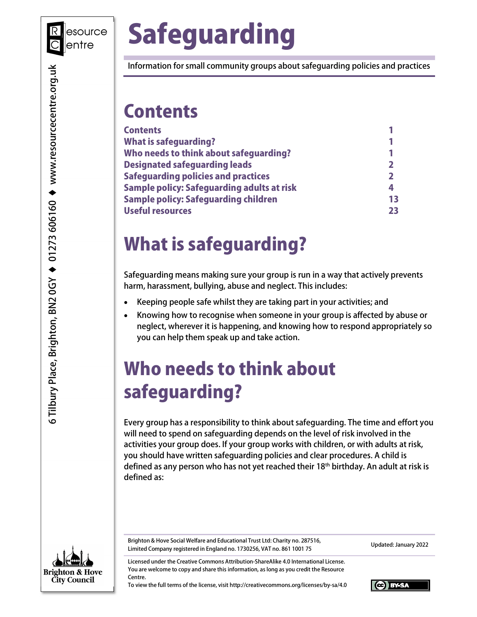

# Safeguarding

Information for small community groups about safeguarding policies and practices

## **Contents**

| <b>Contents</b>                                   |    |
|---------------------------------------------------|----|
| <b>What is safeguarding?</b>                      |    |
| Who needs to think about safeguarding?            |    |
| <b>Designated safeguarding leads</b>              |    |
| <b>Safeguarding policies and practices</b>        |    |
| <b>Sample policy: Safeguarding adults at risk</b> | 4  |
| <b>Sample policy: Safeguarding children</b>       | 13 |
| <b>Useful resources</b>                           | 23 |

## What is safeguarding?

Safeguarding means making sure your group is run in a way that actively prevents harm, harassment, bullying, abuse and neglect. This includes:

- Keeping people safe whilst they are taking part in your activities; and
- Knowing how to recognise when someone in your group is affected by abuse or neglect, wherever it is happening, and knowing how to respond appropriately so you can help them speak up and take action.

## Who needs to think about safeguarding?

Every group has a responsibility to think about safeguarding. The time and effort you will need to spend on safeguarding depends on the level of risk involved in the activities your group does. If your group works with children, or with adults at risk, you should have written safeguarding policies and clear procedures. A child is defined as any person who has not yet reached their 18<sup>th</sup> birthday. An adult at risk is defined as:



Brighton & Hove Social Welfare and Educational Trust Ltd: Charity no. 287516, Brighton & Hove Social weirare and Educational Hust Etd. Charley 110. 207510, Elmited Company registered in England no. 1730256, VAT no. 861 1001 75

Licensed under the Creative Commons Attribution-ShareAlike 4.0 International License. You are welcome to copy and share this information, as long as you credit the Resource Centre.

To view the full terms of the license, visit http://creativecommons.org/licenses/by-sa/4.0

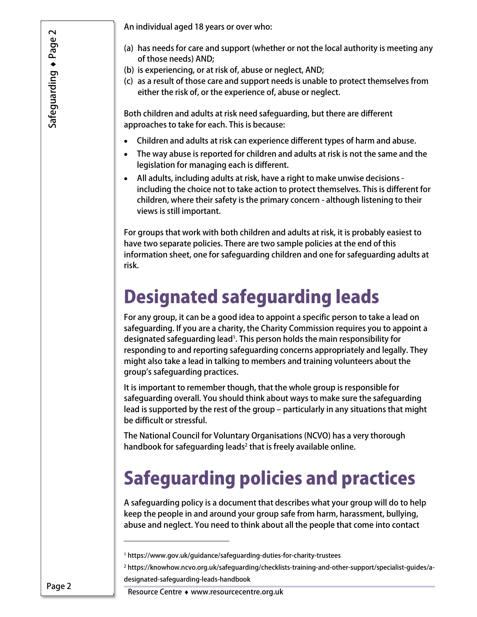An individual aged 18 years or over who:

- (a) has needs for care and support (whether or not the local authority is meeting any of those needs) AND;
- (b) is experiencing, or at risk of, abuse or neglect, AND;
- (c) as a result of those care and support needs is unable to protect themselves from either the risk of, or the experience of, abuse or neglect.

Both children and adults at risk need safeguarding, but there are different approaches to take for each. This is because:

- Children and adults at risk can experience different types of harm and abuse.
- The way abuse is reported for children and adults at risk is not the same and the legislation for managing each is different.
- All adults, including adults at risk, have a right to make unwise decisions including the choice not to take action to protect themselves. This is different for children, where their safety is the primary concern - although listening to their views is still important.

For groups that work with both children and adults at risk, it is probably easiest to have two separate policies. There are two sample policies at the end of this information sheet, one for safeguarding children and one for safeguarding adults at risk.

## Designated safeguarding leads

For any group, it can be a good idea to appoint a specific person to take a lead on safeguarding. If you are a charity, the Charity Commission requires you to appoint a designated safeguarding lead<sup>1</sup>. This person holds the main responsibility for responding to and reporting safeguarding concerns appropriately and legally. They might also take a lead in talking to members and training volunteers about the group's safeguarding practices.

It is important to remember though, that the whole group is responsible for safeguarding overall. You should think about ways to make sure the safeguarding lead is supported by the rest of the group – particularly in any situations that might be difficult or stressful.

The National Council for Voluntary Organisations (NCVO) has a very thorough handbook for safeguarding leads<sup>2</sup> that is freely available online.

## Safeguarding policies and practices

A safeguarding policy is a document that describes what your group will do to help keep the people in and around your group safe from harm, harassment, bullying, abuse and neglect. You need to think about all the people that come into contact

<sup>1</sup> https://www.gov.uk/guidance/safeguarding-duties-for-charity-trustees

<sup>2</sup> https://knowhow.ncvo.org.uk/safeguarding/checklists-training-and-other-support/specialist-guides/adesignated-safeguarding-leads-handbook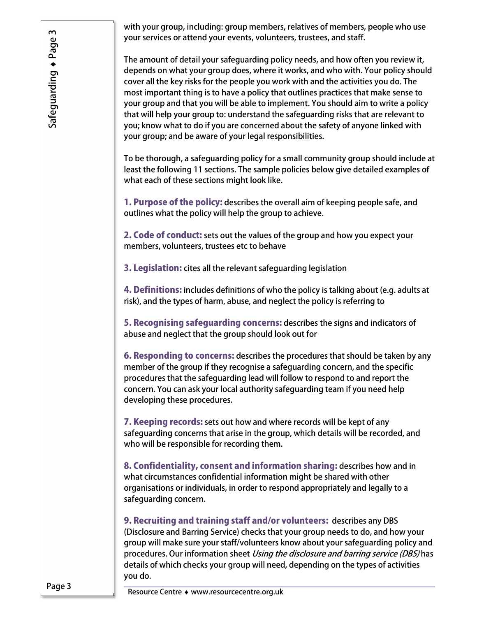with your group, including: group members, relatives of members, people who use your services or attend your events, volunteers, trustees, and staff.

The amount of detail your safeguarding policy needs, and how often you review it, depends on what your group does, where it works, and who with. Your policy should cover all the key risks for the people you work with and the activities you do. The most important thing is to have a policy that outlines practices that make sense to your group and that you will be able to implement. You should aim to write a policy that will help your group to: understand the safeguarding risks that are relevant to you; know what to do if you are concerned about the safety of anyone linked with your group; and be aware of your legal responsibilities.

To be thorough, a safeguarding policy for a small community group should include at least the following 11 sections. The sample policies below give detailed examples of what each of these sections might look like.

1. Purpose of the policy: describes the overall aim of keeping people safe, and outlines what the policy will help the group to achieve.

2. Code of conduct: sets out the values of the group and how you expect your members, volunteers, trustees etc to behave

3. Legislation: cites all the relevant safeguarding legislation

4. Definitions: includes definitions of who the policy is talking about (e.g. adults at risk), and the types of harm, abuse, and neglect the policy is referring to

5. Recognising safeguarding concerns: describes the signs and indicators of abuse and neglect that the group should look out for

6. Responding to concerns: describes the procedures that should be taken by any member of the group if they recognise a safeguarding concern, and the specific procedures that the safeguarding lead will follow to respond to and report the concern. You can ask your local authority safeguarding team if you need help developing these procedures.

**7. Keeping records:** sets out how and where records will be kept of any safeguarding concerns that arise in the group, which details will be recorded, and who will be responsible for recording them.

8. Confidentiality, consent and information sharing: describes how and in what circumstances confidential information might be shared with other organisations or individuals, in order to respond appropriately and legally to a safeguarding concern.

9. Recruiting and training staff and/or volunteers: describes any DBS (Disclosure and Barring Service) checks that your group needs to do, and how your group will make sure your staff/volunteers know about your safeguarding policy and procedures. Our information sheet *Using the disclosure and barring service (DBS)* has details of which checks your group will need, depending on the types of activities you do.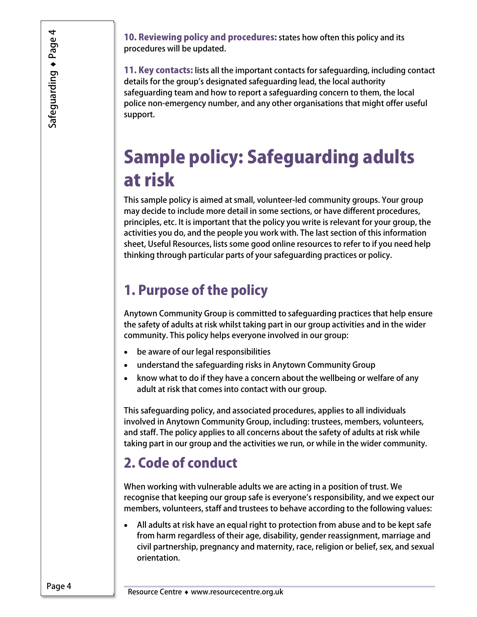10. Reviewing policy and procedures: states how often this policy and its procedures will be updated.

11. Key contacts: lists all the important contacts for safeguarding, including contact details for the group's designated safeguarding lead, the local authority safeguarding team and how to report a safeguarding concern to them, the local police non-emergency number, and any other organisations that might offer useful support.

## Sample policy: Safeguarding adults at risk

This sample policy is aimed at small, volunteer-led community groups. Your group may decide to include more detail in some sections, or have different procedures, principles, etc. It is important that the policy you write is relevant for your group, the activities you do, and the people you work with. The last section of this information sheet, Useful Resources, lists some good online resources to refer to if you need help thinking through particular parts of your safeguarding practices or policy.

### 1. Purpose of the policy

Anytown Community Group is committed to safeguarding practices that help ensure the safety of adults at risk whilst taking part in our group activities and in the wider community. This policy helps everyone involved in our group:

- be aware of our legal responsibilities
- understand the safeguarding risks in Anytown Community Group
- know what to do if they have a concern about the wellbeing or welfare of any adult at risk that comes into contact with our group.

This safeguarding policy, and associated procedures, applies to all individuals involved in Anytown Community Group, including: trustees, members, volunteers, and staff. The policy applies to all concerns about the safety of adults at risk while taking part in our group and the activities we run, or while in the wider community.

### 2. Code of conduct

When working with vulnerable adults we are acting in a position of trust. We recognise that keeping our group safe is everyone's responsibility, and we expect our members, volunteers, staff and trustees to behave according to the following values:

 All adults at risk have an equal right to protection from abuse and to be kept safe from harm regardless of their age, disability, gender reassignment, marriage and civil partnership, pregnancy and maternity, race, religion or belief, sex, and sexual orientation.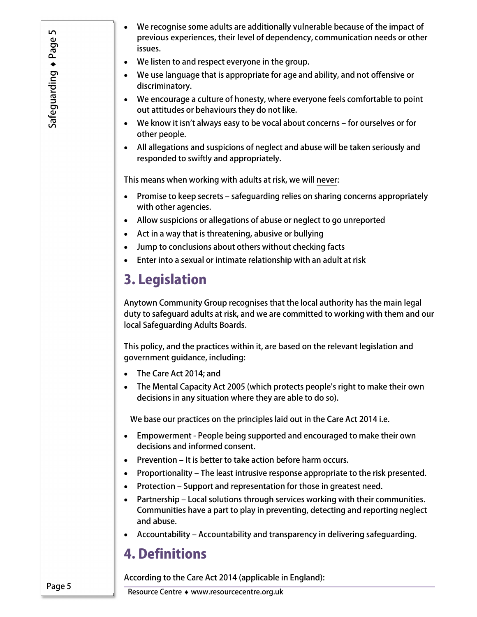- We recognise some adults are additionally vulnerable because of the impact of previous experiences, their level of dependency, communication needs or other issues.
- We listen to and respect everyone in the group.
- We use language that is appropriate for age and ability, and not offensive or discriminatory.
- We encourage a culture of honesty, where everyone feels comfortable to point out attitudes or behaviours they do not like.
- We know it isn't always easy to be vocal about concerns for ourselves or for other people.
- All allegations and suspicions of neglect and abuse will be taken seriously and responded to swiftly and appropriately.

This means when working with adults at risk, we will never:

- Promise to keep secrets safeguarding relies on sharing concerns appropriately with other agencies.
- Allow suspicions or allegations of abuse or neglect to go unreported
- Act in a way that is threatening, abusive or bullying
- Jump to conclusions about others without checking facts
- Enter into a sexual or intimate relationship with an adult at risk

### 3. Legislation

Anytown Community Group recognises that the local authority has the main legal duty to safeguard adults at risk, and we are committed to working with them and our local Safeguarding Adults Boards.

This policy, and the practices within it, are based on the relevant legislation and government guidance, including:

- The Care Act 2014; and
- The Mental Capacity Act 2005 (which protects people's right to make their own decisions in any situation where they are able to do so).

We base our practices on the principles laid out in the Care Act 2014 i.e.

- Empowerment People being supported and encouraged to make their own decisions and informed consent.
- Prevention It is better to take action before harm occurs.
- Proportionality The least intrusive response appropriate to the risk presented.
- Protection Support and representation for those in greatest need.
- Partnership Local solutions through services working with their communities. Communities have a part to play in preventing, detecting and reporting neglect and abuse.
- Accountability Accountability and transparency in delivering safeguarding.

### 4. Definitions

According to the Care Act 2014 (applicable in England):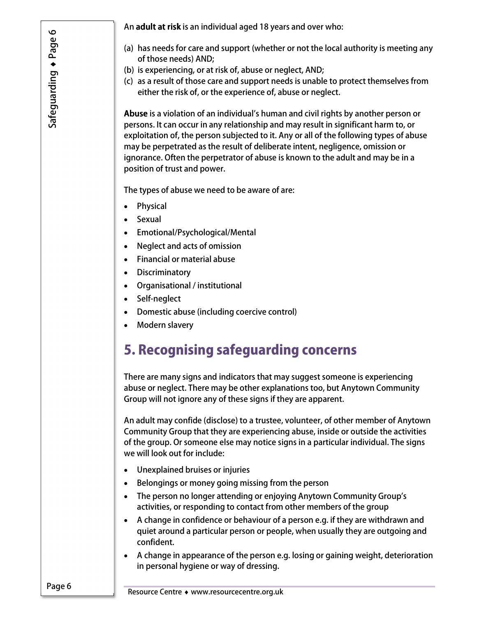An adult at risk is an individual aged 18 years and over who:

- (a) has needs for care and support (whether or not the local authority is meeting any of those needs) AND;
- (b) is experiencing, or at risk of, abuse or neglect, AND;
- (c) as a result of those care and support needs is unable to protect themselves from either the risk of, or the experience of, abuse or neglect.

Abuse is a violation of an individual's human and civil rights by another person or persons. It can occur in any relationship and may result in significant harm to, or exploitation of, the person subjected to it. Any or all of the following types of abuse may be perpetrated as the result of deliberate intent, negligence, omission or ignorance. Often the perpetrator of abuse is known to the adult and may be in a position of trust and power.

The types of abuse we need to be aware of are:

- Physical
- Sexual
- Emotional/Psychological/Mental
- Neglect and acts of omission
- Financial or material abuse
- Discriminatory
- Organisational / institutional
- Self-neglect
- Domestic abuse (including coercive control)
- Modern slavery

### 5. Recognising safeguarding concerns

There are many signs and indicators that may suggest someone is experiencing abuse or neglect. There may be other explanations too, but Anytown Community Group will not ignore any of these signs if they are apparent.

An adult may confide (disclose) to a trustee, volunteer, of other member of Anytown Community Group that they are experiencing abuse, inside or outside the activities of the group. Or someone else may notice signs in a particular individual. The signs we will look out for include:

- Unexplained bruises or injuries
- Belongings or money going missing from the person
- The person no longer attending or enjoying Anytown Community Group's activities, or responding to contact from other members of the group
- A change in confidence or behaviour of a person e.g. if they are withdrawn and quiet around a particular person or people, when usually they are outgoing and confident.
- A change in appearance of the person e.g. losing or gaining weight, deterioration in personal hygiene or way of dressing.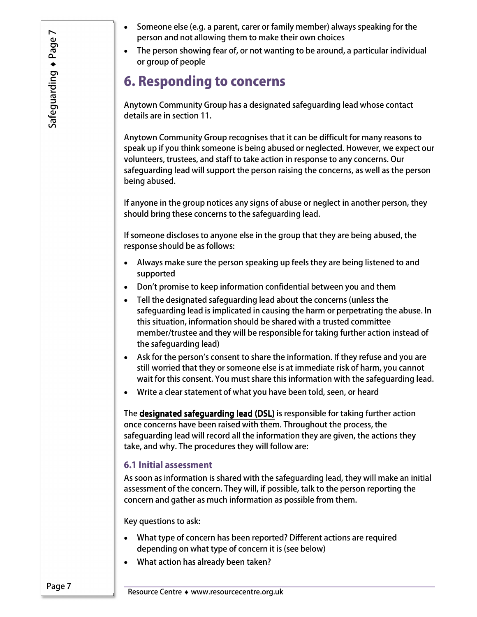- Someone else (e.g. a parent, carer or family member) always speaking for the person and not allowing them to make their own choices
- The person showing fear of, or not wanting to be around, a particular individual or group of people

### 6. Responding to concerns

Anytown Community Group has a designated safeguarding lead whose contact details are in section 11.

Anytown Community Group recognises that it can be difficult for many reasons to speak up if you think someone is being abused or neglected. However, we expect our volunteers, trustees, and staff to take action in response to any concerns. Our safeguarding lead will support the person raising the concerns, as well as the person being abused.

If anyone in the group notices any signs of abuse or neglect in another person, they should bring these concerns to the safeguarding lead.

If someone discloses to anyone else in the group that they are being abused, the response should be as follows:

- Always make sure the person speaking up feels they are being listened to and supported
- Don't promise to keep information confidential between you and them
- Tell the designated safeguarding lead about the concerns (unless the safeguarding lead is implicated in causing the harm or perpetrating the abuse. In this situation, information should be shared with a trusted committee member/trustee and they will be responsible for taking further action instead of the safeguarding lead)
- Ask for the person's consent to share the information. If they refuse and you are still worried that they or someone else is at immediate risk of harm, you cannot wait for this consent. You must share this information with the safeguarding lead.
- Write a clear statement of what you have been told, seen, or heard

The designated safeguarding lead (DSL) is responsible for taking further action once concerns have been raised with them. Throughout the process, the safeguarding lead will record all the information they are given, the actions they take, and why. The procedures they will follow are:

#### 6.1 Initial assessment

As soon as information is shared with the safeguarding lead, they will make an initial assessment of the concern. They will, if possible, talk to the person reporting the concern and gather as much information as possible from them.

Key questions to ask:

- What type of concern has been reported? Different actions are required depending on what type of concern it is (see below)
- What action has already been taken?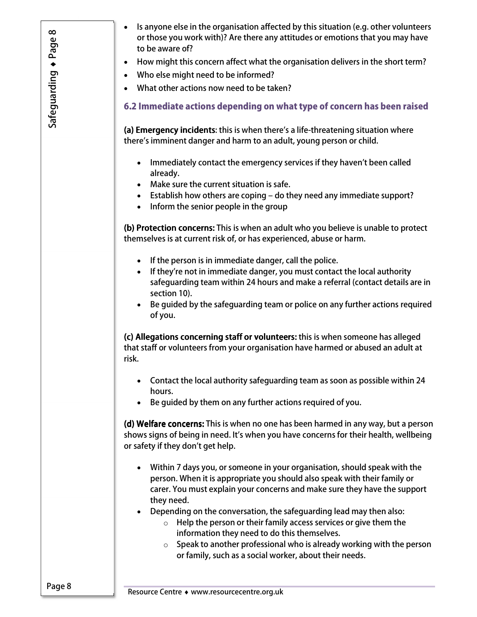- Is anyone else in the organisation affected by this situation (e.g. other volunteers or those you work with)? Are there any attitudes or emotions that you may have to be aware of?
- How might this concern affect what the organisation delivers in the short term?
- Who else might need to be informed?
- What other actions now need to be taken?

### 6.2 Immediate actions depending on what type of concern has been raised

(a) Emergency incidents: this is when there's a life-threatening situation where there's imminent danger and harm to an adult, young person or child.

- Immediately contact the emergency services if they haven't been called already.
- Make sure the current situation is safe.
- Establish how others are coping do they need any immediate support?
- Inform the senior people in the group

(b) Protection concerns: This is when an adult who you believe is unable to protect themselves is at current risk of, or has experienced, abuse or harm.

- If the person is in immediate danger, call the police.
- If they're not in immediate danger, you must contact the local authority safeguarding team within 24 hours and make a referral (contact details are in section 10).
- Be guided by the safeguarding team or police on any further actions required of you.

(c) Allegations concerning staff or volunteers: this is when someone has alleged that staff or volunteers from your organisation have harmed or abused an adult at risk.

- Contact the local authority safeguarding team as soon as possible within 24 hours.
- Be guided by them on any further actions required of you.

(d) Welfare concerns: This is when no one has been harmed in any way, but a person shows signs of being in need. It's when you have concerns for their health, wellbeing or safety if they don't get help.

- Within 7 days you, or someone in your organisation, should speak with the person. When it is appropriate you should also speak with their family or carer. You must explain your concerns and make sure they have the support they need.
- Depending on the conversation, the safeguarding lead may then also:
	- $\circ$  Help the person or their family access services or give them the information they need to do this themselves.
	- $\circ$  Speak to another professional who is already working with the person or family, such as a social worker, about their needs.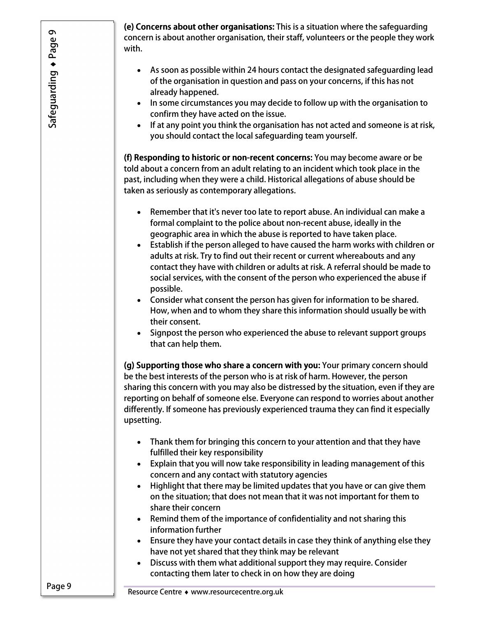(e) Concerns about other organisations: This is a situation where the safeguarding concern is about another organisation, their staff, volunteers or the people they work with.

- As soon as possible within 24 hours contact the designated safeguarding lead of the organisation in question and pass on your concerns, if this has not already happened.
- In some circumstances you may decide to follow up with the organisation to confirm they have acted on the issue.
- If at any point you think the organisation has not acted and someone is at risk, you should contact the local safeguarding team yourself.

(f) Responding to historic or non-recent concerns: You may become aware or be told about a concern from an adult relating to an incident which took place in the past, including when they were a child. Historical allegations of abuse should be taken as seriously as contemporary allegations.

- Remember that it's never too late to report abuse. An individual can make a formal complaint to the police about non-recent abuse, ideally in the geographic area in which the abuse is reported to have taken place.
- Establish if the person alleged to have caused the harm works with children or adults at risk. Try to find out their recent or current whereabouts and any contact they have with children or adults at risk. A referral should be made to social services, with the consent of the person who experienced the abuse if possible.
- Consider what consent the person has given for information to be shared. How, when and to whom they share this information should usually be with their consent.
- Signpost the person who experienced the abuse to relevant support groups that can help them.

(g) Supporting those who share a concern with you: Your primary concern should be the best interests of the person who is at risk of harm. However, the person sharing this concern with you may also be distressed by the situation, even if they are reporting on behalf of someone else. Everyone can respond to worries about another differently. If someone has previously experienced trauma they can find it especially upsetting.

- Thank them for bringing this concern to your attention and that they have fulfilled their key responsibility
- Explain that you will now take responsibility in leading management of this concern and any contact with statutory agencies
- Highlight that there may be limited updates that you have or can give them on the situation; that does not mean that it was not important for them to share their concern
- Remind them of the importance of confidentiality and not sharing this information further
- Ensure they have your contact details in case they think of anything else they have not yet shared that they think may be relevant
- Discuss with them what additional support they may require. Consider contacting them later to check in on how they are doing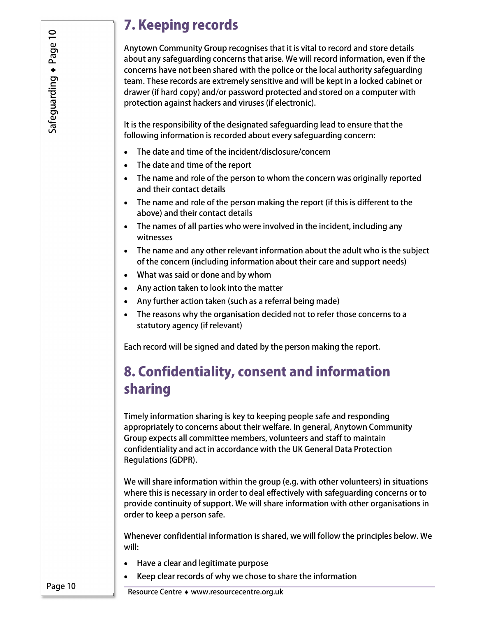### 7. Keeping records

Anytown Community Group recognises that it is vital to record and store details about any safeguarding concerns that arise. We will record information, even if the concerns have not been shared with the police or the local authority safeguarding team. These records are extremely sensitive and will be kept in a locked cabinet or drawer (if hard copy) and/or password protected and stored on a computer with protection against hackers and viruses (if electronic).

It is the responsibility of the designated safeguarding lead to ensure that the following information is recorded about every safeguarding concern:

- The date and time of the incident/disclosure/concern
- The date and time of the report
- The name and role of the person to whom the concern was originally reported and their contact details
- The name and role of the person making the report (if this is different to the above) and their contact details
- The names of all parties who were involved in the incident, including any witnesses
- The name and any other relevant information about the adult who is the subject of the concern (including information about their care and support needs)
- What was said or done and by whom
- Any action taken to look into the matter
- Any further action taken (such as a referral being made)
- The reasons why the organisation decided not to refer those concerns to a statutory agency (if relevant)

Each record will be signed and dated by the person making the report.

### 8. Confidentiality, consent and information sharing

Timely information sharing is key to keeping people safe and responding appropriately to concerns about their welfare. In general, Anytown Community Group expects all committee members, volunteers and staff to maintain confidentiality and act in accordance with the UK General Data Protection Regulations (GDPR).

We will share information within the group (e.g. with other volunteers) in situations where this is necessary in order to deal effectively with safeguarding concerns or to provide continuity of support. We will share information with other organisations in order to keep a person safe.

Whenever confidential information is shared, we will follow the principles below. We will:

- Have a clear and legitimate purpose
- Keep clear records of why we chose to share the information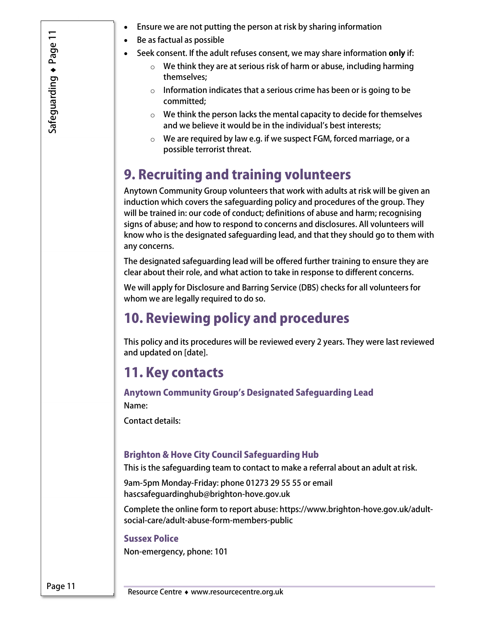- Safeguarding Page 11
- Ensure we are not putting the person at risk by sharing information
- Be as factual as possible
- Seek consent. If the adult refuses consent, we may share information only if:
	- $\circ$  We think they are at serious risk of harm or abuse, including harming themselves;
	- $\circ$  Information indicates that a serious crime has been or is going to be committed;
	- $\circ$  We think the person lacks the mental capacity to decide for themselves and we believe it would be in the individual's best interests;
	- o We are required by law e.g. if we suspect FGM, forced marriage, or a possible terrorist threat.

### 9. Recruiting and training volunteers

Anytown Community Group volunteers that work with adults at risk will be given an induction which covers the safeguarding policy and procedures of the group. They will be trained in: our code of conduct; definitions of abuse and harm; recognising signs of abuse; and how to respond to concerns and disclosures. All volunteers will know who is the designated safeguarding lead, and that they should go to them with any concerns.

The designated safeguarding lead will be offered further training to ensure they are clear about their role, and what action to take in response to different concerns.

We will apply for Disclosure and Barring Service (DBS) checks for all volunteers for whom we are legally required to do so.

### 10. Reviewing policy and procedures

This policy and its procedures will be reviewed every 2 years. They were last reviewed and updated on [date].

### 11. Key contacts

Anytown Community Group's Designated Safeguarding Lead Name:

Contact details:

### Brighton & Hove City Council Safeguarding Hub

This is the safeguarding team to contact to make a referral about an adult at risk.

9am-5pm Monday-Friday: phone 01273 29 55 55 or email hascsafeguardinghub@brighton-hove.gov.uk

Complete the online form to report abuse: https://www.brighton-hove.gov.uk/adultsocial-care/adult-abuse-form-members-public

#### Sussex Police

Non-emergency, phone: 101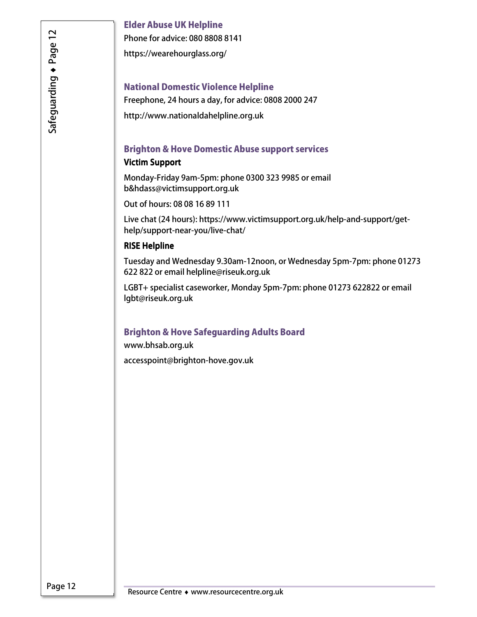#### Elder Abuse UK Helpline

Phone for advice: 080 8808 8141

https://wearehourglass.org/

#### National Domestic Violence Helpline

Freephone, 24 hours a day, for advice: 0808 2000 247

http://www.nationaldahelpline.org.uk

#### Brighton & Hove Domestic Abuse support services

#### Victim Support

Monday-Friday 9am-5pm: phone 0300 323 9985 or email b&hdass@victimsupport.org.uk

Out of hours: 08 08 16 89 111

Live chat (24 hours): https://www.victimsupport.org.uk/help-and-support/gethelp/support-near-you/live-chat/

#### **RISE Helpline**

Tuesday and Wednesday 9.30am-12noon, or Wednesday 5pm-7pm: phone 01273 622 822 or email helpline@riseuk.org.uk

LGBT+ specialist caseworker, Monday 5pm-7pm: phone 01273 622822 or email lgbt@riseuk.org.uk

### Brighton & Hove Safeguarding Adults Board

www.bhsab.org.uk

accesspoint@brighton-hove.gov.uk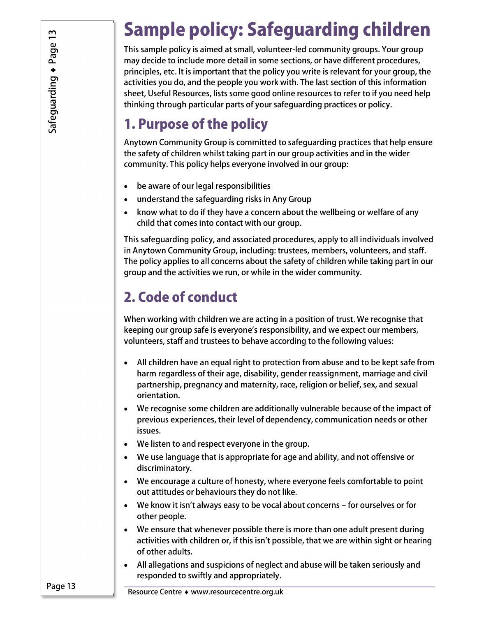## Sample policy: Safeguarding children

This sample policy is aimed at small, volunteer-led community groups. Your group may decide to include more detail in some sections, or have different procedures, principles, etc. It is important that the policy you write is relevant for your group, the activities you do, and the people you work with. The last section of this information sheet, Useful Resources, lists some good online resources to refer to if you need help thinking through particular parts of your safeguarding practices or policy.

### 1. Purpose of the policy

Anytown Community Group is committed to safeguarding practices that help ensure the safety of children whilst taking part in our group activities and in the wider community. This policy helps everyone involved in our group:

- be aware of our legal responsibilities
- understand the safeguarding risks in Any Group
- know what to do if they have a concern about the wellbeing or welfare of any child that comes into contact with our group.

This safeguarding policy, and associated procedures, apply to all individuals involved in Anytown Community Group, including: trustees, members, volunteers, and staff. The policy applies to all concerns about the safety of children while taking part in our group and the activities we run, or while in the wider community.

### 2. Code of conduct

When working with children we are acting in a position of trust. We recognise that keeping our group safe is everyone's responsibility, and we expect our members, volunteers, staff and trustees to behave according to the following values:

- All children have an equal right to protection from abuse and to be kept safe from harm regardless of their age, disability, gender reassignment, marriage and civil partnership, pregnancy and maternity, race, religion or belief, sex, and sexual orientation.
- We recognise some children are additionally vulnerable because of the impact of previous experiences, their level of dependency, communication needs or other issues.
- We listen to and respect everyone in the group.
- We use language that is appropriate for age and ability, and not offensive or discriminatory.
- We encourage a culture of honesty, where everyone feels comfortable to point out attitudes or behaviours they do not like.
- We know it isn't always easy to be vocal about concerns for ourselves or for other people.
- We ensure that whenever possible there is more than one adult present during activities with children or, if this isn't possible, that we are within sight or hearing of other adults.
- All allegations and suspicions of neglect and abuse will be taken seriously and responded to swiftly and appropriately.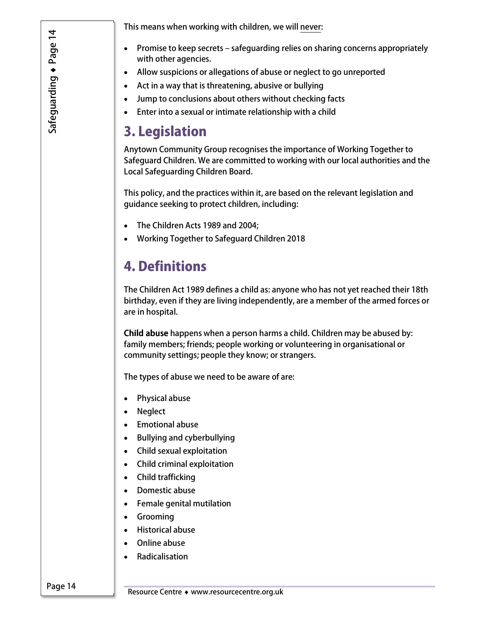Safeguarding Page 14 This means when working with children, we will never:

- Promise to keep secrets safeguarding relies on sharing concerns appropriately with other agencies.
- Allow suspicions or allegations of abuse or neglect to go unreported
- Act in a way that is threatening, abusive or bullying
- Jump to conclusions about others without checking facts
- Enter into a sexual or intimate relationship with a child

### 3. Legislation

Anytown Community Group recognises the importance of Working Together to Safeguard Children. We are committed to working with our local authorities and the Local Safeguarding Children Board.

This policy, and the practices within it, are based on the relevant legislation and guidance seeking to protect children, including:

- The Children Acts 1989 and 2004;
- Working Together to Safeguard Children 2018

### 4. Definitions

The Children Act 1989 defines a child as: anyone who has not yet reached their 18th birthday, even if they are living independently, are a member of the armed forces or are in hospital.

Child abuse happens when a person harms a child. Children may be abused by: family members; friends; people working or volunteering in organisational or community settings; people they know; or strangers.

The types of abuse we need to be aware of are:

- Physical abuse
- Neglect
- Emotional abuse
- Bullying and cyberbullying
- Child sexual exploitation
- Child criminal exploitation
- Child trafficking
- Domestic abuse
- Female genital mutilation
- Grooming
- Historical abuse
- Online abuse
- Radicalisation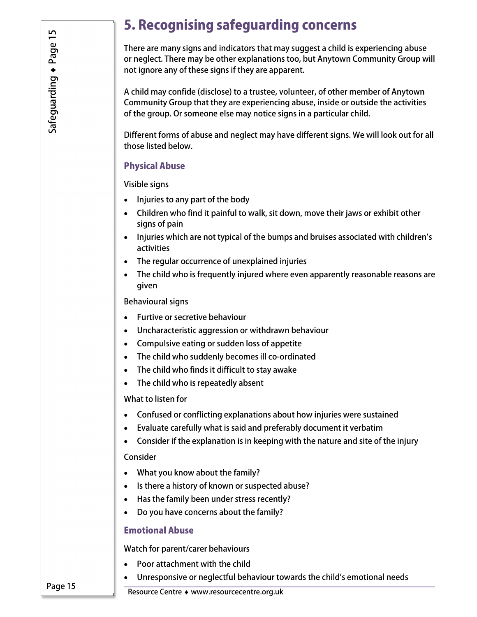### 5. Recognising safeguarding concerns

There are many signs and indicators that may suggest a child is experiencing abuse or neglect. There may be other explanations too, but Anytown Community Group will not ignore any of these signs if they are apparent.

A child may confide (disclose) to a trustee, volunteer, of other member of Anytown Community Group that they are experiencing abuse, inside or outside the activities of the group. Or someone else may notice signs in a particular child.

Different forms of abuse and neglect may have different signs. We will look out for all those listed below.

### Physical Abuse

Visible signs

- Injuries to any part of the body
- Children who find it painful to walk, sit down, move their jaws or exhibit other signs of pain
- Injuries which are not typical of the bumps and bruises associated with children's activities
- The regular occurrence of unexplained injuries
- The child who is frequently injured where even apparently reasonable reasons are given

#### Behavioural signs

- Furtive or secretive behaviour
- Uncharacteristic aggression or withdrawn behaviour
- Compulsive eating or sudden loss of appetite
- The child who suddenly becomes ill co-ordinated
- The child who finds it difficult to stay awake
- The child who is repeatedly absent

What to listen for

- Confused or conflicting explanations about how injuries were sustained
- Evaluate carefully what is said and preferably document it verbatim
- Consider if the explanation is in keeping with the nature and site of the injury

#### Consider

- What you know about the family?
- Is there a history of known or suspected abuse?
- Has the family been under stress recently?
- Do you have concerns about the family?

### Emotional Abuse

Watch for parent/carer behaviours

- Poor attachment with the child
- Unresponsive or neglectful behaviour towards the child's emotional needs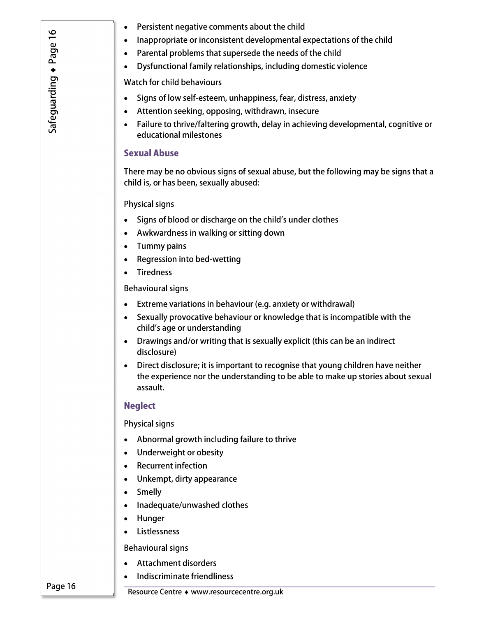- Inappropriate or inconsistent developmental expectations of the child
- Parental problems that supersede the needs of the child
- Dysfunctional family relationships, including domestic violence

Watch for child behaviours

- Signs of low self-esteem, unhappiness, fear, distress, anxiety
- Attention seeking, opposing, withdrawn, insecure
- Failure to thrive/faltering growth, delay in achieving developmental, cognitive or educational milestones

#### Sexual Abuse

There may be no obvious signs of sexual abuse, but the following may be signs that a child is, or has been, sexually abused:

Physical signs

- Signs of blood or discharge on the child's under clothes
- Awkwardness in walking or sitting down
- Tummy pains
- Regression into bed-wetting
- Tiredness

Behavioural signs

- Extreme variations in behaviour (e.g. anxiety or withdrawal)
- Sexually provocative behaviour or knowledge that is incompatible with the child's age or understanding
- Drawings and/or writing that is sexually explicit (this can be an indirect disclosure)
- Direct disclosure; it is important to recognise that young children have neither the experience nor the understanding to be able to make up stories about sexual assault.

#### **Neglect**

Physical signs

- Abnormal growth including failure to thrive
- Underweight or obesity
- Recurrent infection
- Unkempt, dirty appearance
- Smelly
- Inadequate/unwashed clothes
- Hunger
- Listlessness

Behavioural signs

- Attachment disorders
- Indiscriminate friendliness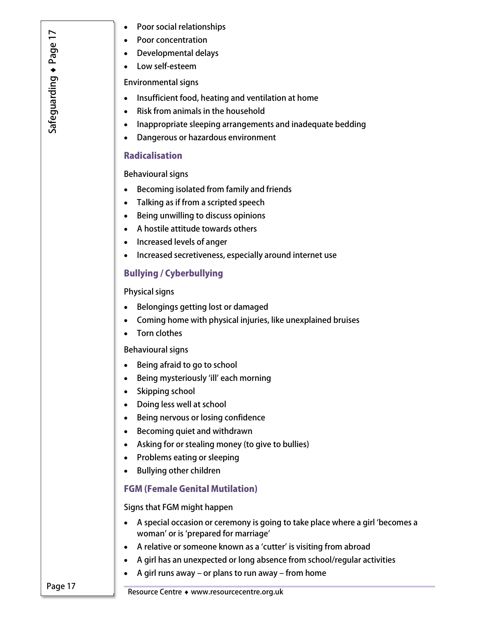- Poor social relationships
- Poor concentration
- Developmental delays
- Low self-esteem

Environmental signs

- Insufficient food, heating and ventilation at home
- Risk from animals in the household
- Inappropriate sleeping arrangements and inadequate bedding
- Dangerous or hazardous environment

#### **Radicalisation**

#### Behavioural signs

- Becoming isolated from family and friends
- Talking as if from a scripted speech
- Being unwilling to discuss opinions
- A hostile attitude towards others
- Increased levels of anger
- Increased secretiveness, especially around internet use

### Bullying / Cyberbullying

#### Physical signs

- Belongings getting lost or damaged
- Coming home with physical injuries, like unexplained bruises
- Torn clothes

#### Behavioural signs

- Being afraid to go to school
- Being mysteriously 'ill' each morning
- Skipping school
- Doing less well at school
- Being nervous or losing confidence
- Becoming quiet and withdrawn
- Asking for or stealing money (to give to bullies)
- Problems eating or sleeping
- Bullying other children

### FGM (Female Genital Mutilation)

#### Signs that FGM might happen

- A special occasion or ceremony is going to take place where a girl 'becomes a woman' or is 'prepared for marriage'
- A relative or someone known as a 'cutter' is visiting from abroad
- A girl has an unexpected or long absence from school/regular activities
- $\bullet$  A girl runs away or plans to run away from home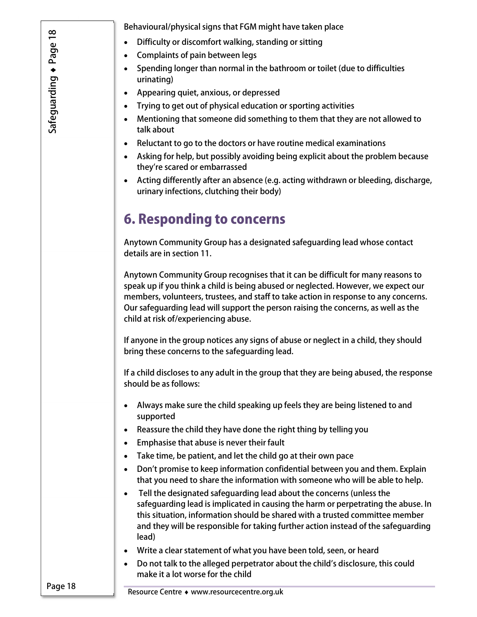Behavioural/physical signs that FGM might have taken place

- Difficulty or discomfort walking, standing or sitting
- Complaints of pain between legs
- Spending longer than normal in the bathroom or toilet (due to difficulties urinating)
- Appearing quiet, anxious, or depressed
- Trying to get out of physical education or sporting activities
- Mentioning that someone did something to them that they are not allowed to talk about
- Reluctant to go to the doctors or have routine medical examinations
- Asking for help, but possibly avoiding being explicit about the problem because they're scared or embarrassed
- Acting differently after an absence (e.g. acting withdrawn or bleeding, discharge, urinary infections, clutching their body)

### 6. Responding to concerns

Anytown Community Group has a designated safeguarding lead whose contact details are in section 11.

Anytown Community Group recognises that it can be difficult for many reasons to speak up if you think a child is being abused or neglected. However, we expect our members, volunteers, trustees, and staff to take action in response to any concerns. Our safeguarding lead will support the person raising the concerns, as well as the child at risk of/experiencing abuse.

If anyone in the group notices any signs of abuse or neglect in a child, they should bring these concerns to the safeguarding lead.

If a child discloses to any adult in the group that they are being abused, the response should be as follows:

- Always make sure the child speaking up feels they are being listened to and supported
- Reassure the child they have done the right thing by telling you
- Emphasise that abuse is never their fault
- Take time, be patient, and let the child go at their own pace
- Don't promise to keep information confidential between you and them. Explain that you need to share the information with someone who will be able to help.
- Tell the designated safeguarding lead about the concerns (unless the safeguarding lead is implicated in causing the harm or perpetrating the abuse. In this situation, information should be shared with a trusted committee member and they will be responsible for taking further action instead of the safeguarding lead)
- Write a clear statement of what you have been told, seen, or heard
- Do not talk to the alleged perpetrator about the child's disclosure, this could make it a lot worse for the child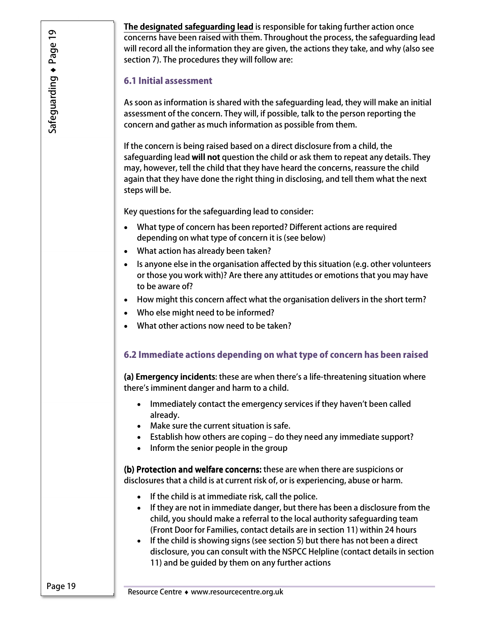**The designated safeguarding lead** is responsible for taking further action once concerns have been raised with them. Throughout the process, the safeguarding lead will record all the information they are given, the actions they take, and why (also see section 7). The procedures they will follow are:

#### 6.1 Initial assessment

As soon as information is shared with the safeguarding lead, they will make an initial assessment of the concern. They will, if possible, talk to the person reporting the concern and gather as much information as possible from them.

If the concern is being raised based on a direct disclosure from a child, the safeguarding lead will not question the child or ask them to repeat any details. They may, however, tell the child that they have heard the concerns, reassure the child again that they have done the right thing in disclosing, and tell them what the next steps will be.

Key questions for the safeguarding lead to consider:

- What type of concern has been reported? Different actions are required depending on what type of concern it is (see below)
- What action has already been taken?
- Is anyone else in the organisation affected by this situation (e.g. other volunteers or those you work with)? Are there any attitudes or emotions that you may have to be aware of?
- How might this concern affect what the organisation delivers in the short term?
- Who else might need to be informed?
- What other actions now need to be taken?

### 6.2 Immediate actions depending on what type of concern has been raised

(a) Emergency incidents: these are when there's a life-threatening situation where there's imminent danger and harm to a child.

- Immediately contact the emergency services if they haven't been called already.
- Make sure the current situation is safe.
- Establish how others are coping do they need any immediate support?
- Inform the senior people in the group

(b) Protection and welfare concerns: these are when there are suspicions or disclosures that a child is at current risk of, or is experiencing, abuse or harm.

- If the child is at immediate risk, call the police.
- If they are not in immediate danger, but there has been a disclosure from the child, you should make a referral to the local authority safeguarding team (Front Door for Families, contact details are in section 11) within 24 hours
- If the child is showing signs (see section 5) but there has not been a direct disclosure, you can consult with the NSPCC Helpline (contact details in section 11) and be guided by them on any further actions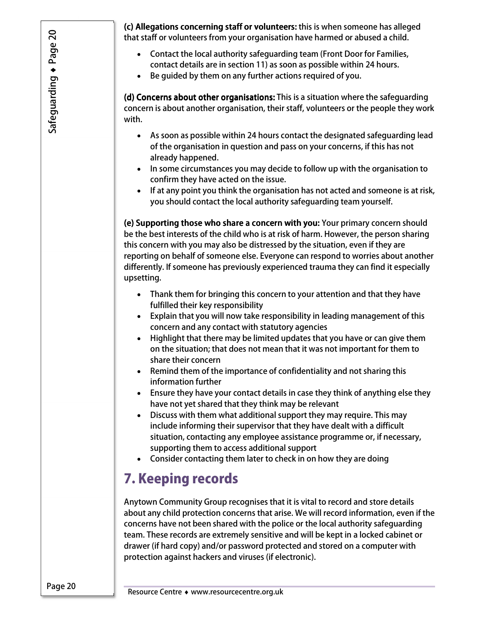(c) Allegations concerning staff or volunteers: this is when someone has alleged that staff or volunteers from your organisation have harmed or abused a child.

- Contact the local authority safeguarding team (Front Door for Families, contact details are in section 11) as soon as possible within 24 hours.
- Be guided by them on any further actions required of you.

(d) Concerns about other organisations: This is a situation where the safeguarding concern is about another organisation, their staff, volunteers or the people they work with.

- As soon as possible within 24 hours contact the designated safeguarding lead of the organisation in question and pass on your concerns, if this has not already happened.
- In some circumstances you may decide to follow up with the organisation to confirm they have acted on the issue.
- If at any point you think the organisation has not acted and someone is at risk, you should contact the local authority safeguarding team yourself.

(e) Supporting those who share a concern with you: Your primary concern should be the best interests of the child who is at risk of harm. However, the person sharing this concern with you may also be distressed by the situation, even if they are reporting on behalf of someone else. Everyone can respond to worries about another differently. If someone has previously experienced trauma they can find it especially upsetting.

- Thank them for bringing this concern to your attention and that they have fulfilled their key responsibility
- Explain that you will now take responsibility in leading management of this concern and any contact with statutory agencies
- Highlight that there may be limited updates that you have or can give them on the situation; that does not mean that it was not important for them to share their concern
- Remind them of the importance of confidentiality and not sharing this information further
- Ensure they have your contact details in case they think of anything else they have not yet shared that they think may be relevant
- Discuss with them what additional support they may require. This may include informing their supervisor that they have dealt with a difficult situation, contacting any employee assistance programme or, if necessary, supporting them to access additional support
- Consider contacting them later to check in on how they are doing

### 7. Keeping records

Anytown Community Group recognises that it is vital to record and store details about any child protection concerns that arise. We will record information, even if the concerns have not been shared with the police or the local authority safeguarding team. These records are extremely sensitive and will be kept in a locked cabinet or drawer (if hard copy) and/or password protected and stored on a computer with protection against hackers and viruses (if electronic).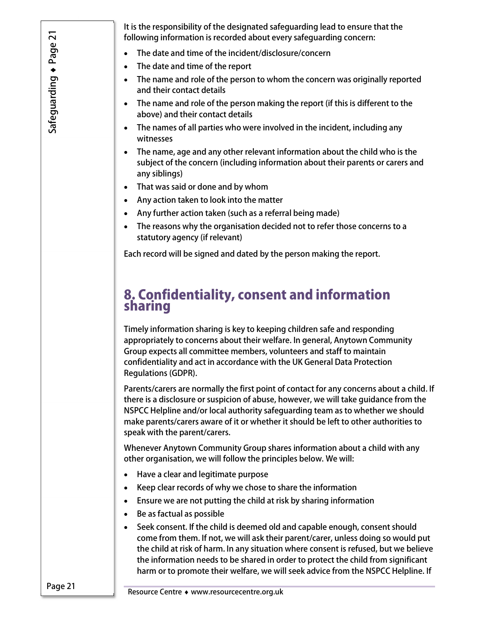It is the responsibility of the designated safeguarding lead to ensure that the following information is recorded about every safeguarding concern:

- The date and time of the incident/disclosure/concern
- The date and time of the report
- The name and role of the person to whom the concern was originally reported and their contact details
- The name and role of the person making the report (if this is different to the above) and their contact details
- The names of all parties who were involved in the incident, including any witnesses
- The name, age and any other relevant information about the child who is the subject of the concern (including information about their parents or carers and any siblings)
- That was said or done and by whom
- Any action taken to look into the matter
- Any further action taken (such as a referral being made)
- The reasons why the organisation decided not to refer those concerns to a statutory agency (if relevant)

Each record will be signed and dated by the person making the report.

### 8. Confidentiality, consent and information sharing

Timely information sharing is key to keeping children safe and responding appropriately to concerns about their welfare. In general, Anytown Community Group expects all committee members, volunteers and staff to maintain confidentiality and act in accordance with the UK General Data Protection Regulations (GDPR).

Parents/carers are normally the first point of contact for any concerns about a child. If there is a disclosure or suspicion of abuse, however, we will take guidance from the NSPCC Helpline and/or local authority safeguarding team as to whether we should make parents/carers aware of it or whether it should be left to other authorities to speak with the parent/carers.

Whenever Anytown Community Group shares information about a child with any other organisation, we will follow the principles below. We will:

- Have a clear and legitimate purpose
- Keep clear records of why we chose to share the information
- Ensure we are not putting the child at risk by sharing information
- Be as factual as possible
- Seek consent. If the child is deemed old and capable enough, consent should come from them. If not, we will ask their parent/carer, unless doing so would put the child at risk of harm. In any situation where consent is refused, but we believe the information needs to be shared in order to protect the child from significant harm or to promote their welfare, we will seek advice from the NSPCC Helpline. If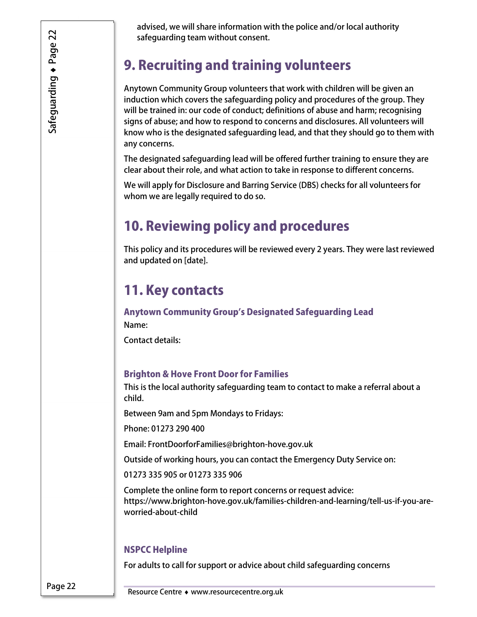advised, we will share information with the police and/or local authority safeguarding team without consent.

### 9. Recruiting and training volunteers

Anytown Community Group volunteers that work with children will be given an induction which covers the safeguarding policy and procedures of the group. They will be trained in: our code of conduct; definitions of abuse and harm; recognising signs of abuse; and how to respond to concerns and disclosures. All volunteers will know who is the designated safeguarding lead, and that they should go to them with any concerns.

The designated safeguarding lead will be offered further training to ensure they are clear about their role, and what action to take in response to different concerns.

We will apply for Disclosure and Barring Service (DBS) checks for all volunteers for whom we are legally required to do so.

### 10. Reviewing policy and procedures

This policy and its procedures will be reviewed every 2 years. They were last reviewed and updated on [date].

### 11. Key contacts

Anytown Community Group's Designated Safeguarding Lead Name:

Contact details:

### Brighton & Hove Front Door for Families

This is the local authority safeguarding team to contact to make a referral about a child.

Between 9am and 5pm Mondays to Fridays:

Phone: 01273 290 400

Email: FrontDoorforFamilies@brighton-hove.gov.uk

Outside of working hours, you can contact the Emergency Duty Service on:

01273 335 905 or 01273 335 906

Complete the online form to report concerns or request advice: https://www.brighton-hove.gov.uk/families-children-and-learning/tell-us-if-you-areworried-about-child

### NSPCC Helpline

For adults to call for support or advice about child safeguarding concerns